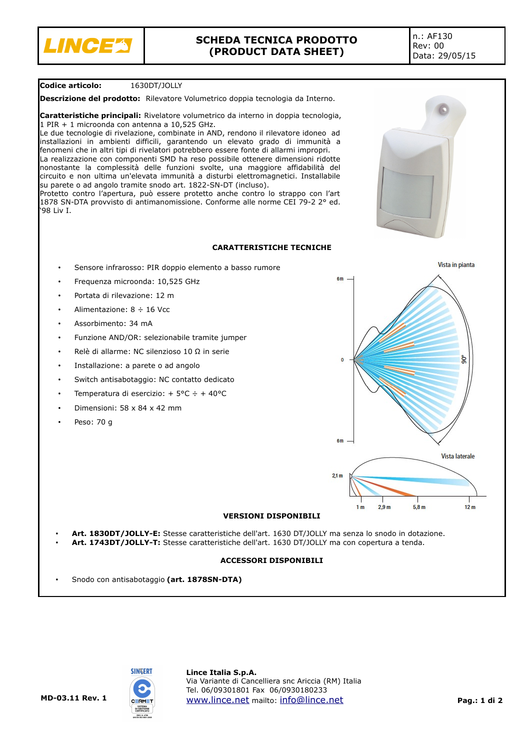

## **Codice articolo:** 1630DT/JOLLY

**Descrizione del prodotto:** Rilevatore Volumetrico doppia tecnologia da Interno.

**Caratteristiche principali:** Rivelatore volumetrico da interno in doppia tecnologia, 1 PIR + 1 microonda con antenna a 10,525 GHz.

Le due tecnologie di rivelazione, combinate in AND, rendono il rilevatore idoneo ad installazioni in ambienti difficili, garantendo un elevato grado di immunità a fenomeni che in altri tipi di rivelatori potrebbero essere fonte di allarmi impropri. La realizzazione con componenti SMD ha reso possibile ottenere dimensioni ridotte nonostante la complessità delle funzioni svolte, una maggiore affidabilità del circuito e non ultima un'elevata immunità a disturbi elettromagnetici. Installabile su parete o ad angolo tramite snodo art. 1822-SN-DT (incluso).

Protetto contro l'apertura, può essere protetto anche contro lo strappo con l'art 1878 SN-DTA provvisto di antimanomissione. Conforme alle norme CEI 79-2 2° ed. '98 Liv I.

## **CARATTERISTICHE TECNICHE**

- Sensore infrarosso: PIR doppio elemento a basso rumore
- Frequenza microonda: 10,525 GHz
- Portata di rilevazione: 12 m
- Alimentazione:  $8 \div 16$  Vcc
- Assorbimento: 34 mA
- Funzione AND/OR: selezionabile tramite jumper
- Relè di allarme: NC silenzioso 10 Ω in serie
- Installazione: a parete o ad angolo
- Switch antisabotaggio: NC contatto dedicato
- Temperatura di esercizio: + 5°C ÷ + 40°C
- Dimensioni: 58 x 84 x 42 mm
- Peso: 70 g



## **VERSIONI DISPONIBILI**

- **Art. 1830DT/JOLLY-E:** Stesse caratteristiche dell'art. 1630 DT/JOLLY ma senza lo snodo in dotazione.
- **Art. 1743DT/JOLLY-T:** Stesse caratteristiche dell'art. 1630 DT/JOLLY ma con copertura a tenda.

## **ACCESSORI DISPONIBILI**

• Snodo con antisabotaggio **(art. 1878SN-DTA)**



#### **Lince Italia S.p.A.** Via Variante di Cancelliera snc Ariccia (RM) Italia Tel. 06/09301801 Fax 06/0930180233 [www.lince.net](http://www.lince.net/) mailto: [info@lince.net](mailto:info@lince.net) **Pag.: 1 di 2**